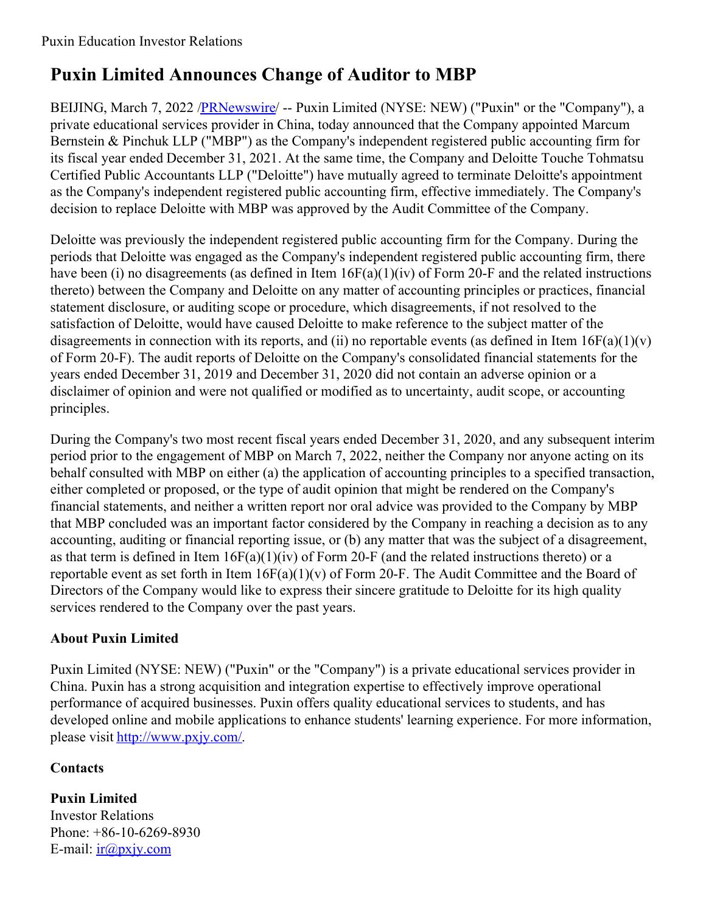## **Puxin Limited Announces Change of Auditor to MBP**

BEIJING, March 7, 2022 /**PRNewswire/** -- Puxin Limited (NYSE: NEW) ("Puxin" or the "Company"), a private educational services provider in China, today announced that the Company appointed Marcum Bernstein & Pinchuk LLP ("MBP") as the Company's independent registered public accounting firm for its fiscal year ended December 31, 2021. At the same time, the Company and Deloitte Touche Tohmatsu Certified Public Accountants LLP ("Deloitte") have mutually agreed to terminate Deloitte's appointment as the Company's independent registered public accounting firm, effective immediately. The Company's decision to replace Deloitte with MBP was approved by the Audit Committee of the Company.

Deloitte was previously the independent registered public accounting firm for the Company. During the periods that Deloitte was engaged as the Company's independent registered public accounting firm, there have been (i) no disagreements (as defined in Item  $16F(a)(1)(iv)$  of Form 20-F and the related instructions thereto) between the Company and Deloitte on any matter of accounting principles or practices, financial statement disclosure, or auditing scope or procedure, which disagreements, if not resolved to the satisfaction of Deloitte, would have caused Deloitte to make reference to the subject matter of the disagreements in connection with its reports, and (ii) no reportable events (as defined in Item  $16F(a)(1)(v)$ of Form 20-F). The audit reports of Deloitte on the Company's consolidated financial statements for the years ended December 31, 2019 and December 31, 2020 did not contain an adverse opinion or a disclaimer of opinion and were not qualified or modified as to uncertainty, audit scope, or accounting principles.

During the Company's two most recent fiscal years ended December 31, 2020, and any subsequent interim period prior to the engagement of MBP on March 7, 2022, neither the Company nor anyone acting on its behalf consulted with MBP on either (a) the application of accounting principles to a specified transaction, either completed or proposed, or the type of audit opinion that might be rendered on the Company's financial statements, and neither a written report nor oral advice was provided to the Company by MBP that MBP concluded was an important factor considered by the Company in reaching a decision as to any accounting, auditing or financial reporting issue, or (b) any matter that was the subject of a disagreement, as that term is defined in Item  $16F(a)(1)(iv)$  of Form 20-F (and the related instructions thereto) or a reportable event as set forth in Item  $16F(a)(1)(v)$  of Form 20-F. The Audit Committee and the Board of Directors of the Company would like to express their sincere gratitude to Deloitte for its high quality services rendered to the Company over the past years.

## **About Puxin Limited**

Puxin Limited (NYSE: NEW) ("Puxin" or the "Company") is a private educational services provider in China. Puxin has a strong acquisition and integration expertise to effectively improve operational performance of acquired businesses. Puxin offers quality educational services to students, and has developed online and mobile applications to enhance students' learning experience. For more information, please visit <http://www.pxjy.com/>.

## **Contacts**

**Puxin Limited** Investor Relations Phone: +86-10-6269-8930 E-mail:  $ir@pxjy.com$